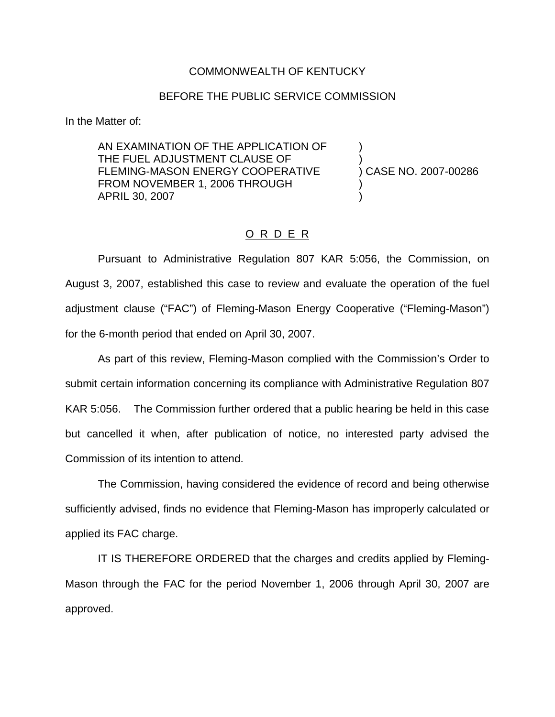## COMMONWEALTH OF KENTUCKY

## BEFORE THE PUBLIC SERVICE COMMISSION

In the Matter of:

AN EXAMINATION OF THE APPLICATION OF ) THE FUEL ADJUSTMENT CLAUSE OF ) FLEMING-MASON ENERGY COOPERATIVE FROM NOVEMBER 1, 2006 THROUGH APRIL 30, 2007 )

## O R D E R

Pursuant to Administrative Regulation 807 KAR 5:056, the Commission, on August 3, 2007, established this case to review and evaluate the operation of the fuel adjustment clause ("FAC") of Fleming-Mason Energy Cooperative ("Fleming-Mason") for the 6-month period that ended on April 30, 2007.

As part of this review, Fleming-Mason complied with the Commission's Order to submit certain information concerning its compliance with Administrative Regulation 807 KAR 5:056. The Commission further ordered that a public hearing be held in this case but cancelled it when, after publication of notice, no interested party advised the Commission of its intention to attend.

The Commission, having considered the evidence of record and being otherwise sufficiently advised, finds no evidence that Fleming-Mason has improperly calculated or applied its FAC charge.

IT IS THEREFORE ORDERED that the charges and credits applied by Fleming-Mason through the FAC for the period November 1, 2006 through April 30, 2007 are approved.